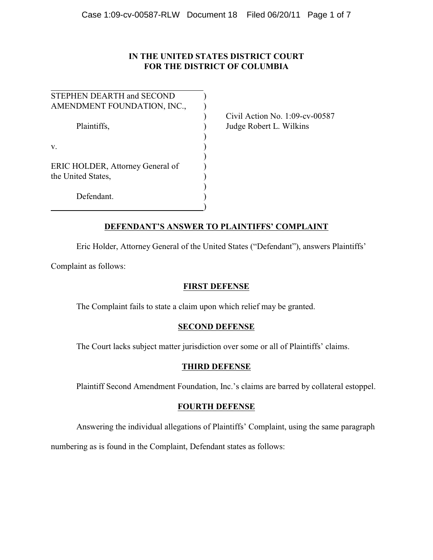# **IN THE UNITED STATES DISTRICT COURT FOR THE DISTRICT OF COLUMBIA**

| STEPHEN DEARTH and SECOND                              |  |
|--------------------------------------------------------|--|
| AMENDMENT FOUNDATION, INC.,                            |  |
| Plaintiffs,                                            |  |
| v.                                                     |  |
| ERIC HOLDER, Attorney General of<br>the United States, |  |
| Defendant.                                             |  |

Civil Action No. 1:09-cv-00587 Judge Robert L. Wilkins

# **DEFENDANT'S ANSWER TO PLAINTIFFS' COMPLAINT**

Eric Holder, Attorney General of the United States ("Defendant"), answers Plaintiffs'

Complaint as follows:

# **FIRST DEFENSE**

The Complaint fails to state a claim upon which relief may be granted.

# **SECOND DEFENSE**

The Court lacks subject matter jurisdiction over some or all of Plaintiffs' claims.

# **THIRD DEFENSE**

Plaintiff Second Amendment Foundation, Inc.'s claims are barred by collateral estoppel.

# **FOURTH DEFENSE**

Answering the individual allegations of Plaintiffs' Complaint, using the same paragraph

numbering as is found in the Complaint, Defendant states as follows: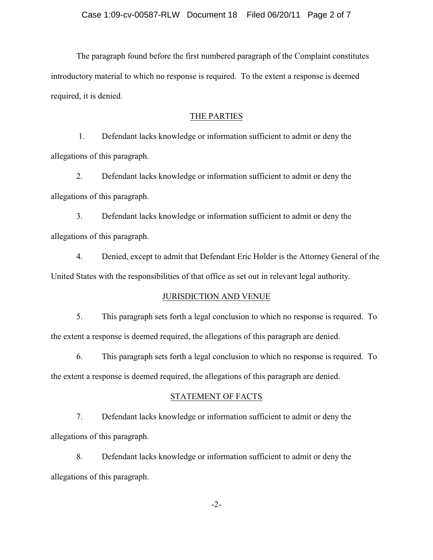The paragraph found before the first numbered paragraph of the Complaint constitutes introductory material to which no response is required. To the extent a response is deemed required, it is denied.

## THE PARTIES

 1. Defendant lacks knowledge or information sufficient to admit or deny the allegations of this paragraph.

2. Defendant lacks knowledge or information sufficient to admit or deny the allegations of this paragraph.

3. Defendant lacks knowledge or information sufficient to admit or deny the allegations of this paragraph.

4. Denied, except to admit that Defendant Eric Holder is the Attorney General of the United States with the responsibilities of that office as set out in relevant legal authority.

### JURISDICTION AND VENUE

5. This paragraph sets forth a legal conclusion to which no response is required. To the extent a response is deemed required, the allegations of this paragraph are denied.

6. This paragraph sets forth a legal conclusion to which no response is required. To the extent a response is deemed required, the allegations of this paragraph are denied.

# STATEMENT OF FACTS

7. Defendant lacks knowledge or information sufficient to admit or deny the allegations of this paragraph.

8. Defendant lacks knowledge or information sufficient to admit or deny the allegations of this paragraph.

-2-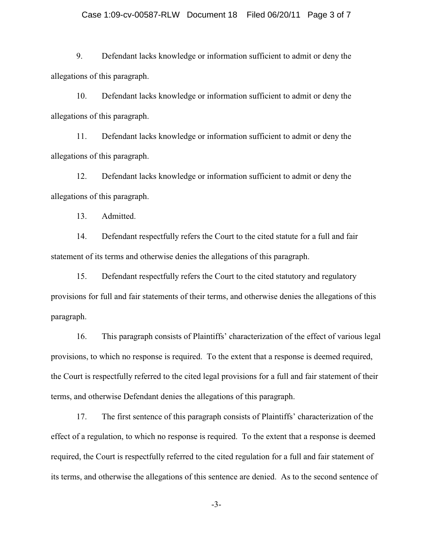9. Defendant lacks knowledge or information sufficient to admit or deny the allegations of this paragraph.

10. Defendant lacks knowledge or information sufficient to admit or deny the allegations of this paragraph.

11. Defendant lacks knowledge or information sufficient to admit or deny the allegations of this paragraph.

12. Defendant lacks knowledge or information sufficient to admit or deny the allegations of this paragraph.

13. Admitted.

14. Defendant respectfully refers the Court to the cited statute for a full and fair statement of its terms and otherwise denies the allegations of this paragraph.

15. Defendant respectfully refers the Court to the cited statutory and regulatory provisions for full and fair statements of their terms, and otherwise denies the allegations of this paragraph.

16. This paragraph consists of Plaintiffs' characterization of the effect of various legal provisions, to which no response is required. To the extent that a response is deemed required, the Court is respectfully referred to the cited legal provisions for a full and fair statement of their terms, and otherwise Defendant denies the allegations of this paragraph.

17. The first sentence of this paragraph consists of Plaintiffs' characterization of the effect of a regulation, to which no response is required. To the extent that a response is deemed required, the Court is respectfully referred to the cited regulation for a full and fair statement of its terms, and otherwise the allegations of this sentence are denied. As to the second sentence of

-3-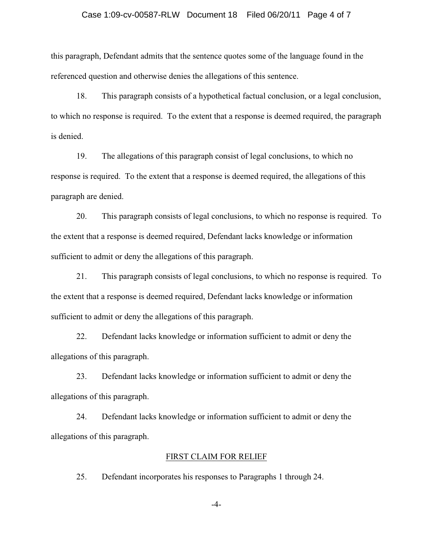### Case 1:09-cv-00587-RLW Document 18 Filed 06/20/11 Page 4 of 7

this paragraph, Defendant admits that the sentence quotes some of the language found in the referenced question and otherwise denies the allegations of this sentence.

18. This paragraph consists of a hypothetical factual conclusion, or a legal conclusion, to which no response is required. To the extent that a response is deemed required, the paragraph is denied.

19. The allegations of this paragraph consist of legal conclusions, to which no response is required. To the extent that a response is deemed required, the allegations of this paragraph are denied.

20. This paragraph consists of legal conclusions, to which no response is required. To the extent that a response is deemed required, Defendant lacks knowledge or information sufficient to admit or deny the allegations of this paragraph.

21. This paragraph consists of legal conclusions, to which no response is required. To the extent that a response is deemed required, Defendant lacks knowledge or information sufficient to admit or deny the allegations of this paragraph.

22. Defendant lacks knowledge or information sufficient to admit or deny the allegations of this paragraph.

23. Defendant lacks knowledge or information sufficient to admit or deny the allegations of this paragraph.

24. Defendant lacks knowledge or information sufficient to admit or deny the allegations of this paragraph.

### FIRST CLAIM FOR RELIEF

25. Defendant incorporates his responses to Paragraphs 1 through 24.

-4-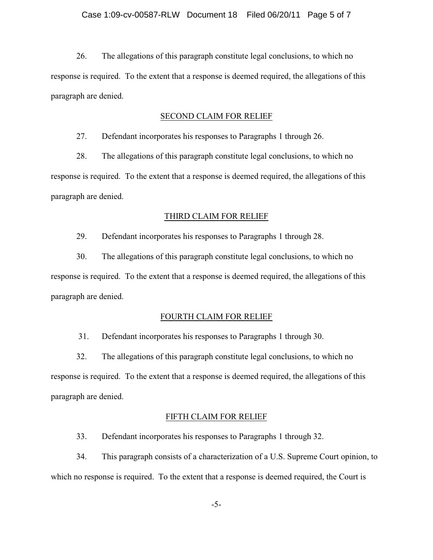26. The allegations of this paragraph constitute legal conclusions, to which no response is required. To the extent that a response is deemed required, the allegations of this paragraph are denied.

### SECOND CLAIM FOR RELIEF

27. Defendant incorporates his responses to Paragraphs 1 through 26.

28. The allegations of this paragraph constitute legal conclusions, to which no response is required. To the extent that a response is deemed required, the allegations of this paragraph are denied.

#### THIRD CLAIM FOR RELIEF

29. Defendant incorporates his responses to Paragraphs 1 through 28.

30. The allegations of this paragraph constitute legal conclusions, to which no response is required. To the extent that a response is deemed required, the allegations of this paragraph are denied.

#### FOURTH CLAIM FOR RELIEF

31. Defendant incorporates his responses to Paragraphs 1 through 30.

32. The allegations of this paragraph constitute legal conclusions, to which no response is required. To the extent that a response is deemed required, the allegations of this paragraph are denied.

#### FIFTH CLAIM FOR RELIEF

33. Defendant incorporates his responses to Paragraphs 1 through 32.

34. This paragraph consists of a characterization of a U.S. Supreme Court opinion, to which no response is required. To the extent that a response is deemed required, the Court is

-5-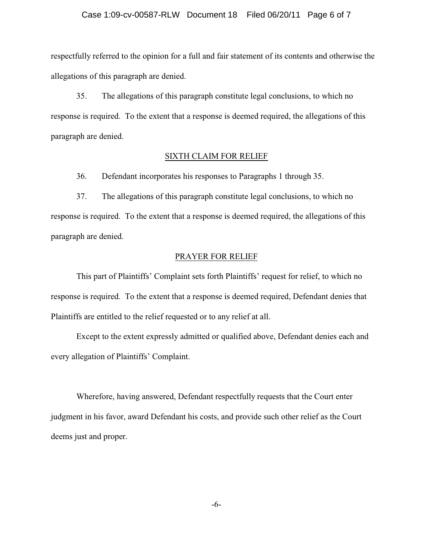#### Case 1:09-cv-00587-RLW Document 18 Filed 06/20/11 Page 6 of 7

respectfully referred to the opinion for a full and fair statement of its contents and otherwise the allegations of this paragraph are denied.

35. The allegations of this paragraph constitute legal conclusions, to which no response is required. To the extent that a response is deemed required, the allegations of this paragraph are denied.

### SIXTH CLAIM FOR RELIEF

36. Defendant incorporates his responses to Paragraphs 1 through 35.

37. The allegations of this paragraph constitute legal conclusions, to which no response is required. To the extent that a response is deemed required, the allegations of this paragraph are denied.

### PRAYER FOR RELIEF

This part of Plaintiffs' Complaint sets forth Plaintiffs' request for relief, to which no response is required. To the extent that a response is deemed required, Defendant denies that Plaintiffs are entitled to the relief requested or to any relief at all.

Except to the extent expressly admitted or qualified above, Defendant denies each and every allegation of Plaintiffs' Complaint.

Wherefore, having answered, Defendant respectfully requests that the Court enter judgment in his favor, award Defendant his costs, and provide such other relief as the Court deems just and proper.

-6-